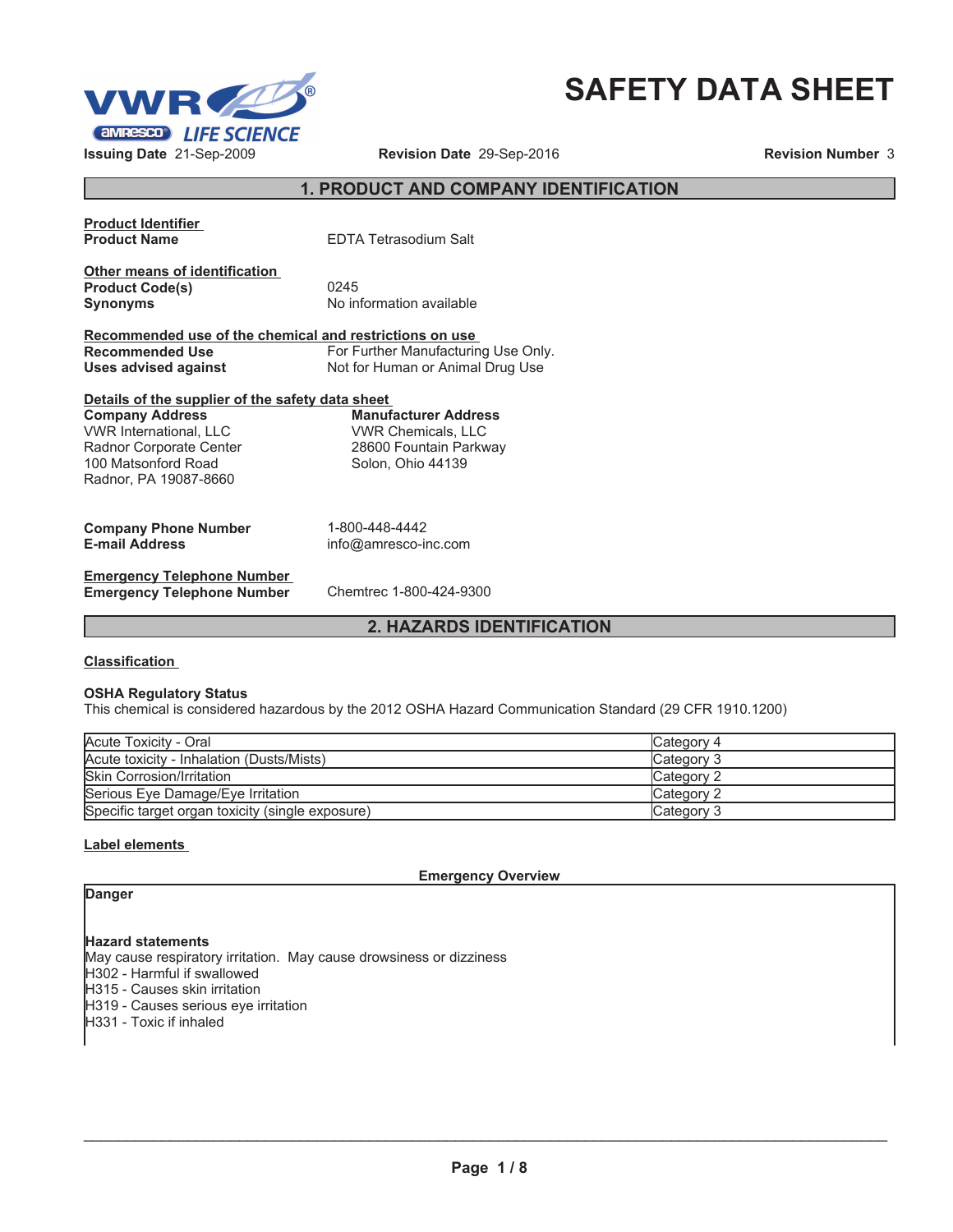



# **1. PRODUCT AND COMPANY IDENTIFICATION**

| <b>Product Identifier</b><br><b>Product Name</b>        | <b>EDTA Tetrasodium Salt</b>        |
|---------------------------------------------------------|-------------------------------------|
|                                                         |                                     |
| Other means of identification                           |                                     |
| <b>Product Code(s)</b>                                  | 0245                                |
| <b>Synonyms</b>                                         | No information available            |
| Recommended use of the chemical and restrictions on use |                                     |
| Recommended Use                                         | For Further Manufacturing Use Only. |
| Uses advised against                                    | Not for Human or Animal Drug Use    |
| Details of the supplier of the safety data sheet        |                                     |
| <b>Company Address</b>                                  | <b>Manufacturer Address</b>         |
| <b>VWR International, LLC</b>                           | VWR Chemicals, LLC                  |
| Radnor Corporate Center                                 | 28600 Fountain Parkway              |
| 100 Matsonford Road                                     | Solon, Ohio 44139                   |
| Radnor, PA 19087-8660                                   |                                     |
|                                                         |                                     |
| <b>Company Phone Number</b>                             | 1-800-448-4442                      |
| <b>E-mail Address</b>                                   | info@amresco-inc.com                |
| <b>Emergency Telephone Number</b>                       |                                     |
| <b>Emergency Telephone Number</b>                       | Chemtrec 1-800-424-9300             |

# **2. HAZARDS IDENTIFICATION**

#### **Classification**

## **OSHA Regulatory Status**

This chemical is considered hazardous by the 2012 OSHA Hazard Communication Standard (29 CFR 1910.1200)

| Acute Toxicity - Oral                            | Category 4 |
|--------------------------------------------------|------------|
| Acute toxicity - Inhalation (Dusts/Mists)        | Category 3 |
| <b>Skin Corrosion/Irritation</b>                 | Category 2 |
| Serious Eye Damage/Eye Irritation                | Category 2 |
| Specific target organ toxicity (single exposure) | Category 3 |

## **Label elements**

**Emergency Overview**

| w<br>۰. |  |  |
|---------|--|--|
|---------|--|--|

**Hazard statements** May cause respiratory irritation. May cause drowsiness or dizziness H302 - Harmful if swallowed H315 - Causes skin irritation H<sub>319</sub> - Causes serious eye irritation H331 - Toxic if inhaled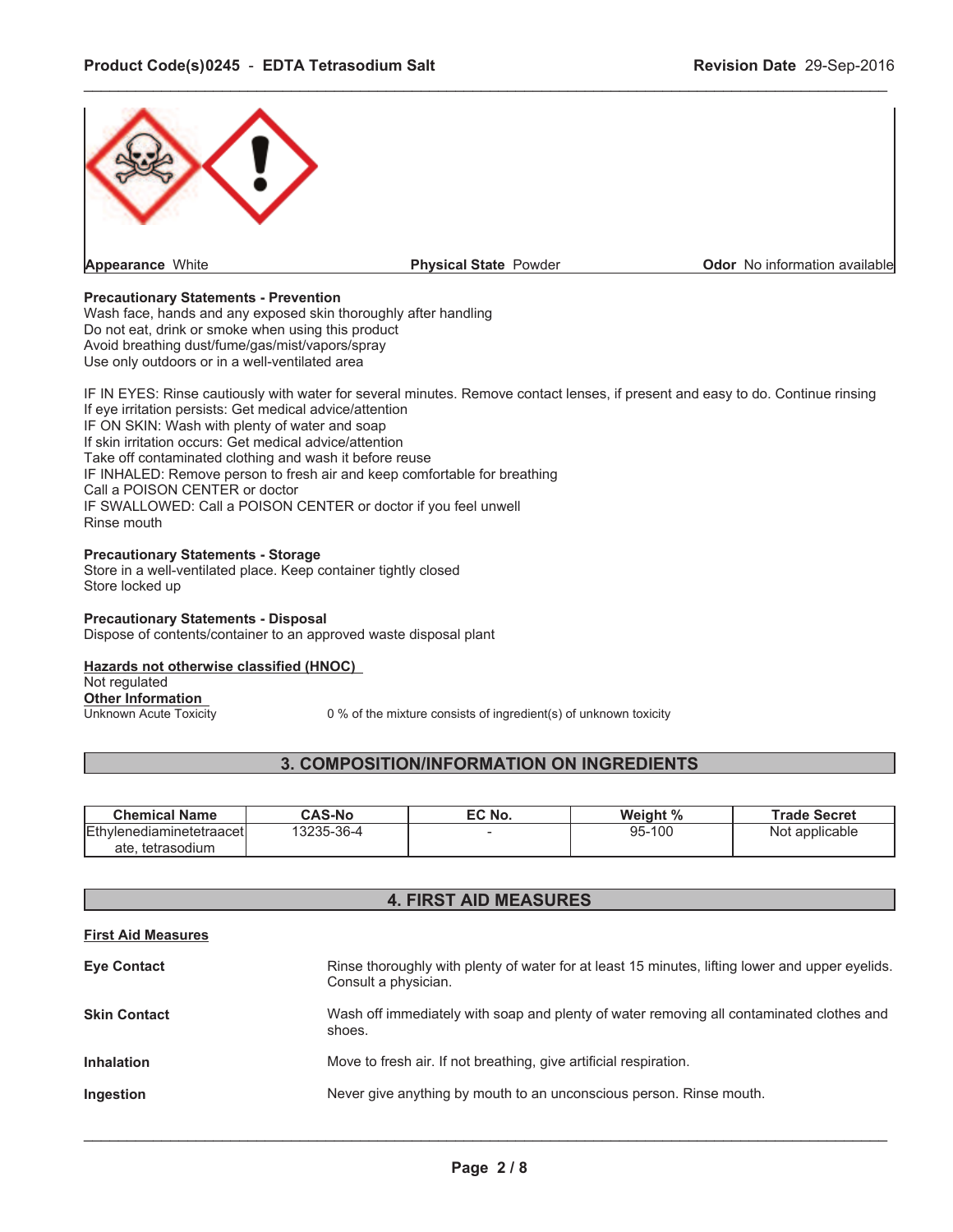

\_\_\_\_\_\_\_\_\_\_\_\_\_\_\_\_\_\_\_\_\_\_\_\_\_\_\_\_\_\_\_\_\_\_\_\_\_\_\_\_\_\_\_\_\_\_\_\_\_\_\_\_\_\_\_\_\_\_\_\_\_\_\_\_\_\_\_\_\_\_\_\_\_\_\_\_\_\_\_\_\_\_\_\_\_\_\_\_\_\_\_\_\_

## **Precautionary Statements - Prevention**

Wash face, hands and any exposed skin thoroughly after handling Do not eat, drink or smoke when using this product Avoid breathing dust/fume/gas/mist/vapors/spray Use only outdoors or in a well-ventilated area

IF IN EYES: Rinse cautiously with water for several minutes. Remove contact lenses, if present and easy to do. Continue rinsing If eye irritation persists: Get medical advice/attention IF ON SKIN: Wash with plenty of water and soap If skin irritation occurs: Get medical advice/attention Take off contaminated clothing and wash it before reuse IF INHALED: Remove person to fresh air and keep comfortable for breathing Call a POISON CENTER or doctor IF SWALLOWED: Call a POISON CENTER or doctor if you feel unwell Rinse mouth

## **Precautionary Statements - Storage**

Store in a well-ventilated place. Keep container tightly closed Store locked up

#### **Precautionary Statements - Disposal**

Dispose of contents/container to an approved waste disposal plant

## **Hazards not otherwise classified (HNOC)**

Not regulated

**Other Information**<br>Unknown Acute Toxicity

0 % of the mixture consists of ingredient(s) of unknown toxicity

# **3. COMPOSITION/INFORMATION ON INGREDIENTS**

| <b>Chemical Name</b>                                     | <b>CAS-No</b> | EC No. | Weight % | <b>Trade Secret</b> |
|----------------------------------------------------------|---------------|--------|----------|---------------------|
| <b>IEthvlenediaminetetraacetI</b><br>tetrasodium<br>ate. | 3235-36-4     |        | 95-100   | Not applicable      |

# **4. FIRST AID MEASURES**

## **First Aid Measures**

| <b>Eye Contact</b>  | Rinse thoroughly with plenty of water for at least 15 minutes, lifting lower and upper eyelids.<br>Consult a physician. |
|---------------------|-------------------------------------------------------------------------------------------------------------------------|
| <b>Skin Contact</b> | Wash off immediately with soap and plenty of water removing all contaminated clothes and<br>shoes.                      |
| <b>Inhalation</b>   | Move to fresh air. If not breathing, give artificial respiration.                                                       |
| Ingestion           | Never give anything by mouth to an unconscious person. Rinse mouth.                                                     |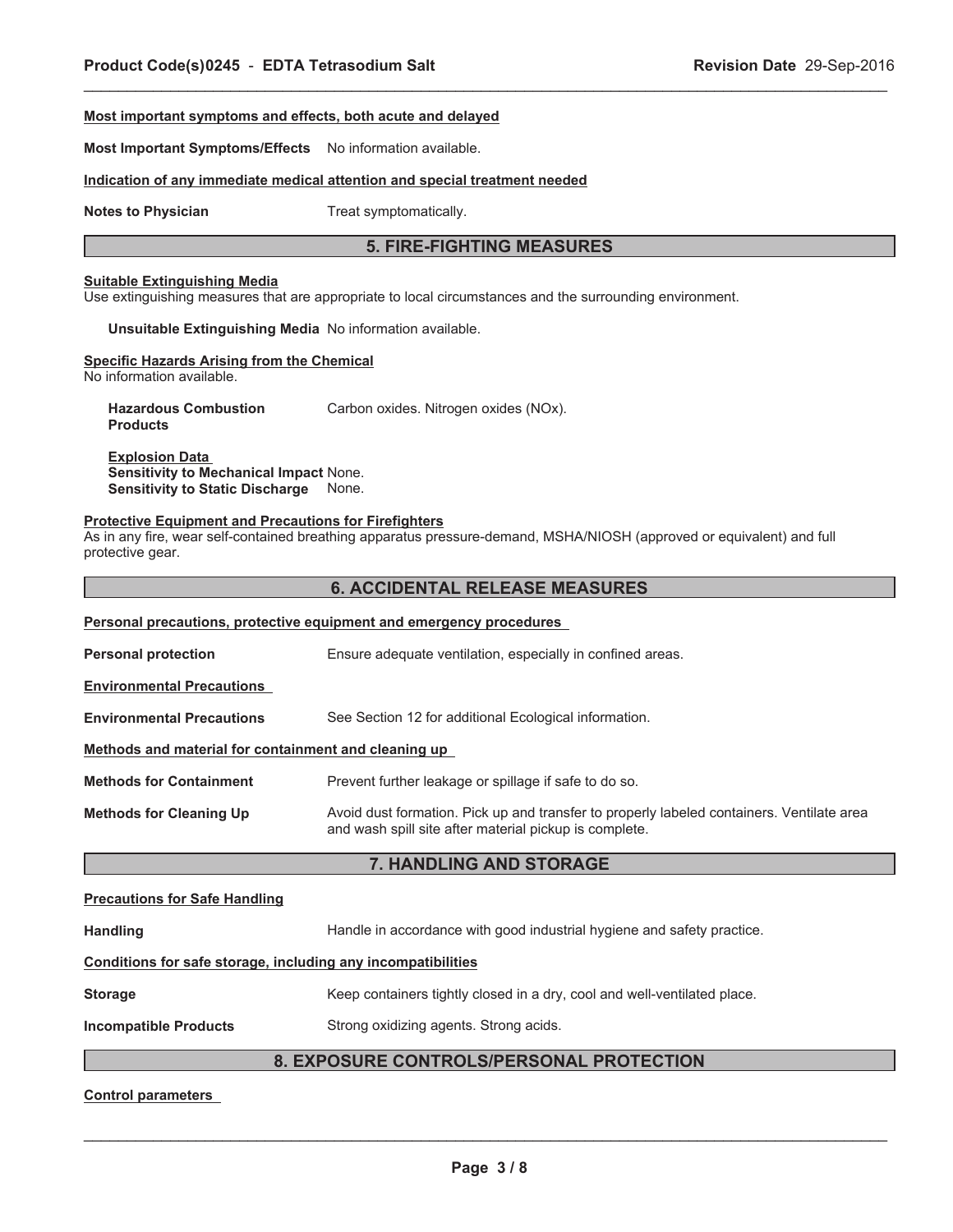## **Most important symptoms and effects, both acute and delayed**

**Most Important Symptoms/Effects** No information available.

## **Indication of any immediate medical attention and special treatment needed**

**Notes to Physician** Treat symptomatically.

## **5. FIRE-FIGHTING MEASURES**

\_\_\_\_\_\_\_\_\_\_\_\_\_\_\_\_\_\_\_\_\_\_\_\_\_\_\_\_\_\_\_\_\_\_\_\_\_\_\_\_\_\_\_\_\_\_\_\_\_\_\_\_\_\_\_\_\_\_\_\_\_\_\_\_\_\_\_\_\_\_\_\_\_\_\_\_\_\_\_\_\_\_\_\_\_\_\_\_\_\_\_\_\_

## **Suitable Extinguishing Media**

Use extinguishing measures that are appropriate to local circumstances and the surrounding environment.

**Unsuitable Extinguishing Media** No information available.

#### **Specific Hazards Arising from the Chemical**

No information available.

**Hazardous Combustion Products** Carbon oxides. Nitrogen oxides (NOx).

**Explosion Data Sensitivity to Mechanical Impact** None. **Sensitivity to Static Discharge** None.

#### **Protective Equipment and Precautions for Firefighters**

As in any fire, wear self-contained breathing apparatus pressure-demand, MSHA/NIOSH (approved or equivalent) and full protective gear.

## **6. ACCIDENTAL RELEASE MEASURES**

|                                                                                                                                                                                       | <b>Personal precautions, protective equipment and emergency procedures</b> |  |  |
|---------------------------------------------------------------------------------------------------------------------------------------------------------------------------------------|----------------------------------------------------------------------------|--|--|
| <b>Personal protection</b>                                                                                                                                                            | Ensure adequate ventilation, especially in confined areas.                 |  |  |
| <b>Environmental Precautions</b>                                                                                                                                                      |                                                                            |  |  |
| <b>Environmental Precautions</b>                                                                                                                                                      | See Section 12 for additional Ecological information.                      |  |  |
| Methods and material for containment and cleaning up                                                                                                                                  |                                                                            |  |  |
| <b>Methods for Containment</b>                                                                                                                                                        | Prevent further leakage or spillage if safe to do so.                      |  |  |
| Avoid dust formation. Pick up and transfer to properly labeled containers. Ventilate area<br><b>Methods for Cleaning Up</b><br>and wash spill site after material pickup is complete. |                                                                            |  |  |
|                                                                                                                                                                                       | 7. HANDLING AND STORAGE                                                    |  |  |
| Dessaudiana fan Oafs Handling                                                                                                                                                         |                                                                            |  |  |

#### **Precautions for Safe Handling**

Handling **Handle in accordance with good industrial hygiene and safety practice.** 

# **Conditions for safe storage, including any incompatibilities**

## **Storage** Keep containers tightly closed in a dry, cool and well-ventilated place.

**Incompatible Products** Strong oxidizing agents. Strong acids.

# **8. EXPOSURE CONTROLS/PERSONAL PROTECTION**

**Control parameters**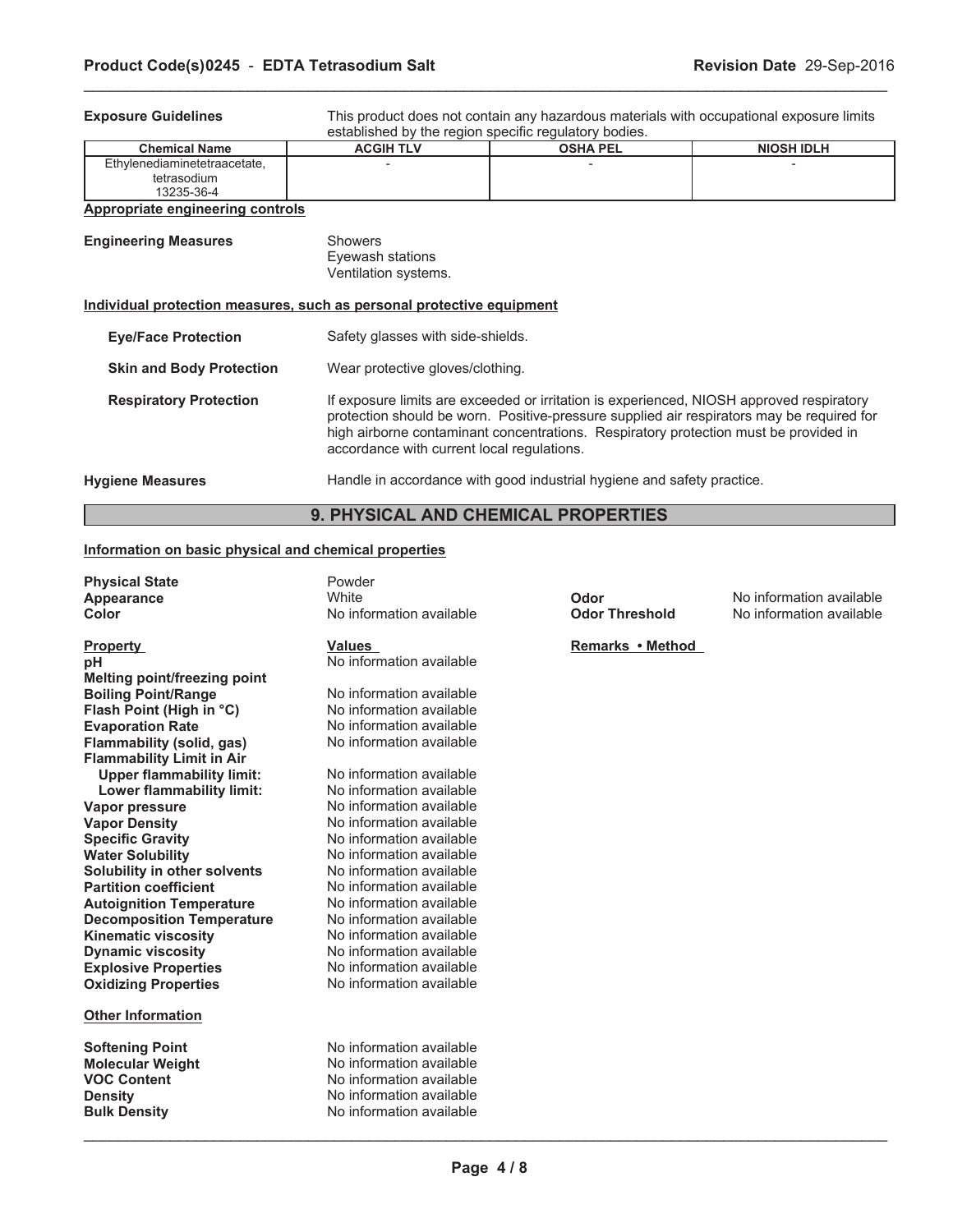**Exposure Guidelines** This product does not contain any hazardous materials with occupational exposure limits established by the region specific regulatory bodies.

| ----------------<br>.        |                  |                 |                   |  |
|------------------------------|------------------|-----------------|-------------------|--|
| <b>Chemical Name</b>         | <b>ACGIH TLV</b> | <b>OSHA PEL</b> | <b>NIOSH IDLH</b> |  |
| Ethvlenediaminetetraacetate, |                  |                 |                   |  |
| tetrasodium                  |                  |                 |                   |  |
| 13235-36-4                   |                  |                 |                   |  |

\_\_\_\_\_\_\_\_\_\_\_\_\_\_\_\_\_\_\_\_\_\_\_\_\_\_\_\_\_\_\_\_\_\_\_\_\_\_\_\_\_\_\_\_\_\_\_\_\_\_\_\_\_\_\_\_\_\_\_\_\_\_\_\_\_\_\_\_\_\_\_\_\_\_\_\_\_\_\_\_\_\_\_\_\_\_\_\_\_\_\_\_\_

# **Appropriate engineering controls**

| <b>Engineering Measures</b>                                           | Showers<br>Eyewash stations<br>Ventilation systems.                                                                                                                                                                                                                                                                         |  |
|-----------------------------------------------------------------------|-----------------------------------------------------------------------------------------------------------------------------------------------------------------------------------------------------------------------------------------------------------------------------------------------------------------------------|--|
| Individual protection measures, such as personal protective equipment |                                                                                                                                                                                                                                                                                                                             |  |
| <b>Eye/Face Protection</b>                                            | Safety glasses with side-shields.                                                                                                                                                                                                                                                                                           |  |
| <b>Skin and Body Protection</b>                                       | Wear protective gloves/clothing.                                                                                                                                                                                                                                                                                            |  |
| <b>Respiratory Protection</b>                                         | If exposure limits are exceeded or irritation is experienced. NIOSH approved respiratory<br>protection should be worn. Positive-pressure supplied air respirators may be required for<br>high airborne contaminant concentrations. Respiratory protection must be provided in<br>accordance with current local regulations. |  |
| <b>Hygiene Measures</b>                                               | Handle in accordance with good industrial hygiene and safety practice.                                                                                                                                                                                                                                                      |  |

# **9. PHYSICAL AND CHEMICAL PROPERTIES**

## **Information on basic physical and chemical properties**

| <b>Physical State</b>            | Powder                   |                       |                          |
|----------------------------------|--------------------------|-----------------------|--------------------------|
| <b>Appearance</b>                | White                    | Odor                  | No information available |
| Color                            | No information available | <b>Odor Threshold</b> | No information available |
| <b>Property</b>                  | <b>Values</b>            | Remarks • Method      |                          |
| pН                               | No information available |                       |                          |
| Melting point/freezing point     |                          |                       |                          |
| <b>Boiling Point/Range</b>       | No information available |                       |                          |
| Flash Point (High in °C)         | No information available |                       |                          |
| <b>Evaporation Rate</b>          | No information available |                       |                          |
| Flammability (solid, gas)        | No information available |                       |                          |
| <b>Flammability Limit in Air</b> |                          |                       |                          |
| <b>Upper flammability limit:</b> | No information available |                       |                          |
| <b>Lower flammability limit:</b> | No information available |                       |                          |
| <b>Vapor pressure</b>            | No information available |                       |                          |
| <b>Vapor Density</b>             | No information available |                       |                          |
| <b>Specific Gravity</b>          | No information available |                       |                          |
| <b>Water Solubility</b>          | No information available |                       |                          |
| Solubility in other solvents     | No information available |                       |                          |
| <b>Partition coefficient</b>     | No information available |                       |                          |
| <b>Autoignition Temperature</b>  | No information available |                       |                          |
| <b>Decomposition Temperature</b> | No information available |                       |                          |
| <b>Kinematic viscosity</b>       | No information available |                       |                          |
| <b>Dynamic viscosity</b>         | No information available |                       |                          |
| <b>Explosive Properties</b>      | No information available |                       |                          |
| <b>Oxidizing Properties</b>      | No information available |                       |                          |
| <b>Other Information</b>         |                          |                       |                          |
| <b>Softening Point</b>           | No information available |                       |                          |
| <b>Molecular Weight</b>          | No information available |                       |                          |
| <b>VOC Content</b>               | No information available |                       |                          |
| <b>Density</b>                   | No information available |                       |                          |
| Bulk Density                     | No information available |                       |                          |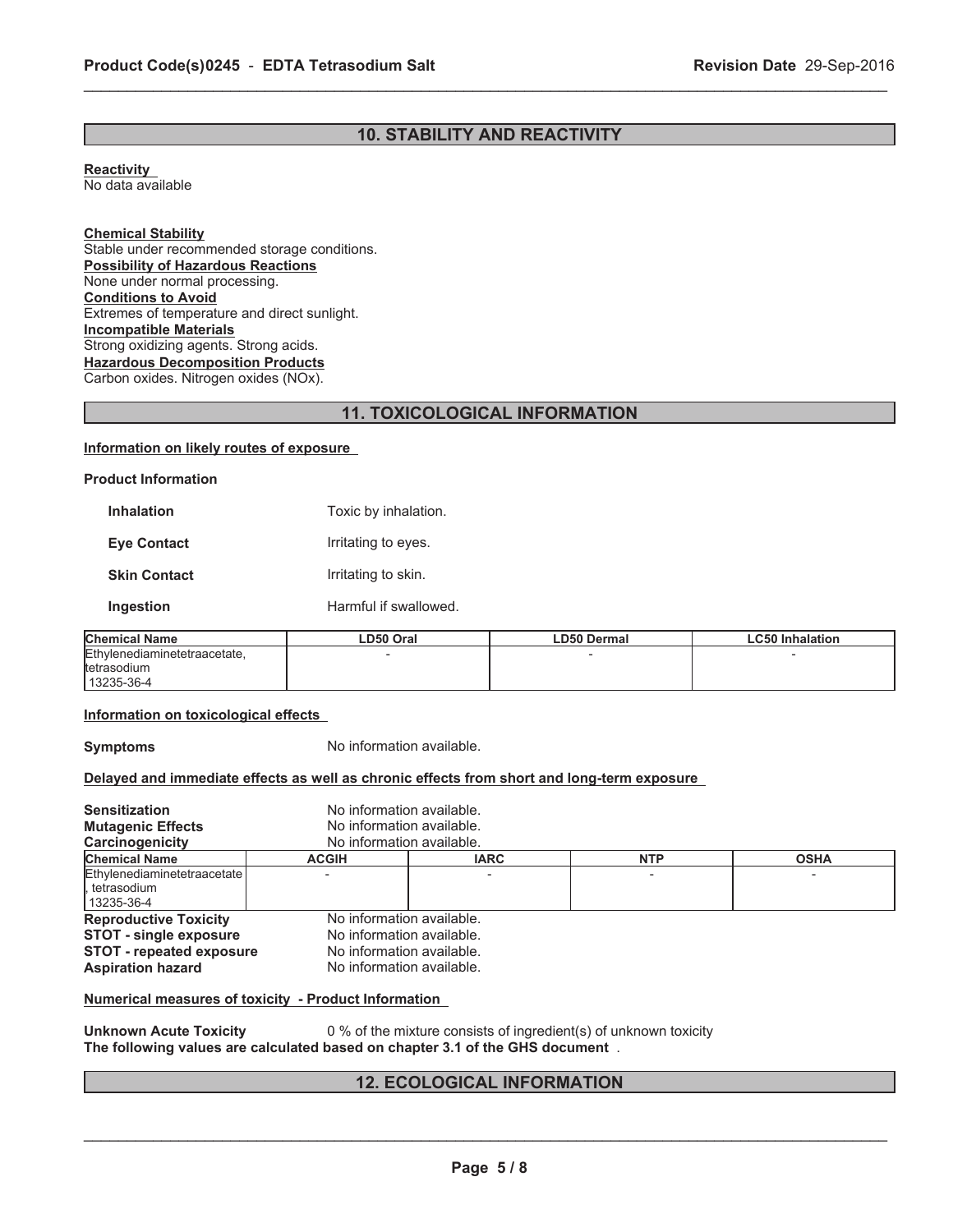# **10. STABILITY AND REACTIVITY**

\_\_\_\_\_\_\_\_\_\_\_\_\_\_\_\_\_\_\_\_\_\_\_\_\_\_\_\_\_\_\_\_\_\_\_\_\_\_\_\_\_\_\_\_\_\_\_\_\_\_\_\_\_\_\_\_\_\_\_\_\_\_\_\_\_\_\_\_\_\_\_\_\_\_\_\_\_\_\_\_\_\_\_\_\_\_\_\_\_\_\_\_\_

**Reactivity** No data available

**Chemical Stability** Stable under recommended storage conditions. **Possibility of Hazardous Reactions** None under normal processing. **Conditions to Avoid** Extremes of temperature and direct sunlight. **Incompatible Materials** Strong oxidizing agents. Strong acids. **Hazardous Decomposition Products** Carbon oxides. Nitrogen oxides (NOx).

# **11. TOXICOLOGICAL INFORMATION**

## **Information on likely routes of exposure**

## **Product Information**

| <b>Inhalation</b>   | Toxic by inhalation.  |
|---------------------|-----------------------|
| <b>Eye Contact</b>  | Irritating to eyes.   |
| <b>Skin Contact</b> | Irritating to skin.   |
| Ingestion           | Harmful if swallowed. |
|                     |                       |

| <b>Chemical Name</b>         | ∟D50 Oral | <b>LD50 Dermal</b> | ∟C50 Inhalation |
|------------------------------|-----------|--------------------|-----------------|
| Ethylenediaminetetraacetate, |           |                    |                 |
| <b>Itetrasodium</b>          |           |                    |                 |
| 13235-36-4                   |           |                    |                 |

## **Information on toxicological effects**

**Symptoms** No information available.

## **Delayed and immediate effects as well as chronic effects from short and long-term exposure**

| <b>Sensitization</b><br><b>Mutagenic Effects</b><br>Carcinogenicity                                                          |              | No information available.<br>No information available.<br>No information available.                              |            |             |  |
|------------------------------------------------------------------------------------------------------------------------------|--------------|------------------------------------------------------------------------------------------------------------------|------------|-------------|--|
| <b>Chemical Name</b>                                                                                                         | <b>ACGIH</b> | <b>IARC</b>                                                                                                      | <b>NTP</b> | <b>OSHA</b> |  |
| Ethylenediaminetetraacetate<br>l. tetrasodium<br>  13235-36-4                                                                |              |                                                                                                                  |            |             |  |
| <b>Reproductive Toxicity</b><br><b>STOT - single exposure</b><br><b>STOT - repeated exposure</b><br><b>Aspiration hazard</b> |              | No information available.<br>No information available.<br>No information available.<br>No information available. |            |             |  |

**Numerical measures of toxicity - Product Information**

**Unknown Acute Toxicity** 0 % of the mixture consists of ingredient(s) of unknown toxicity **The following values are calculated based on chapter 3.1 of the GHS document** .

# **12. ECOLOGICAL INFORMATION**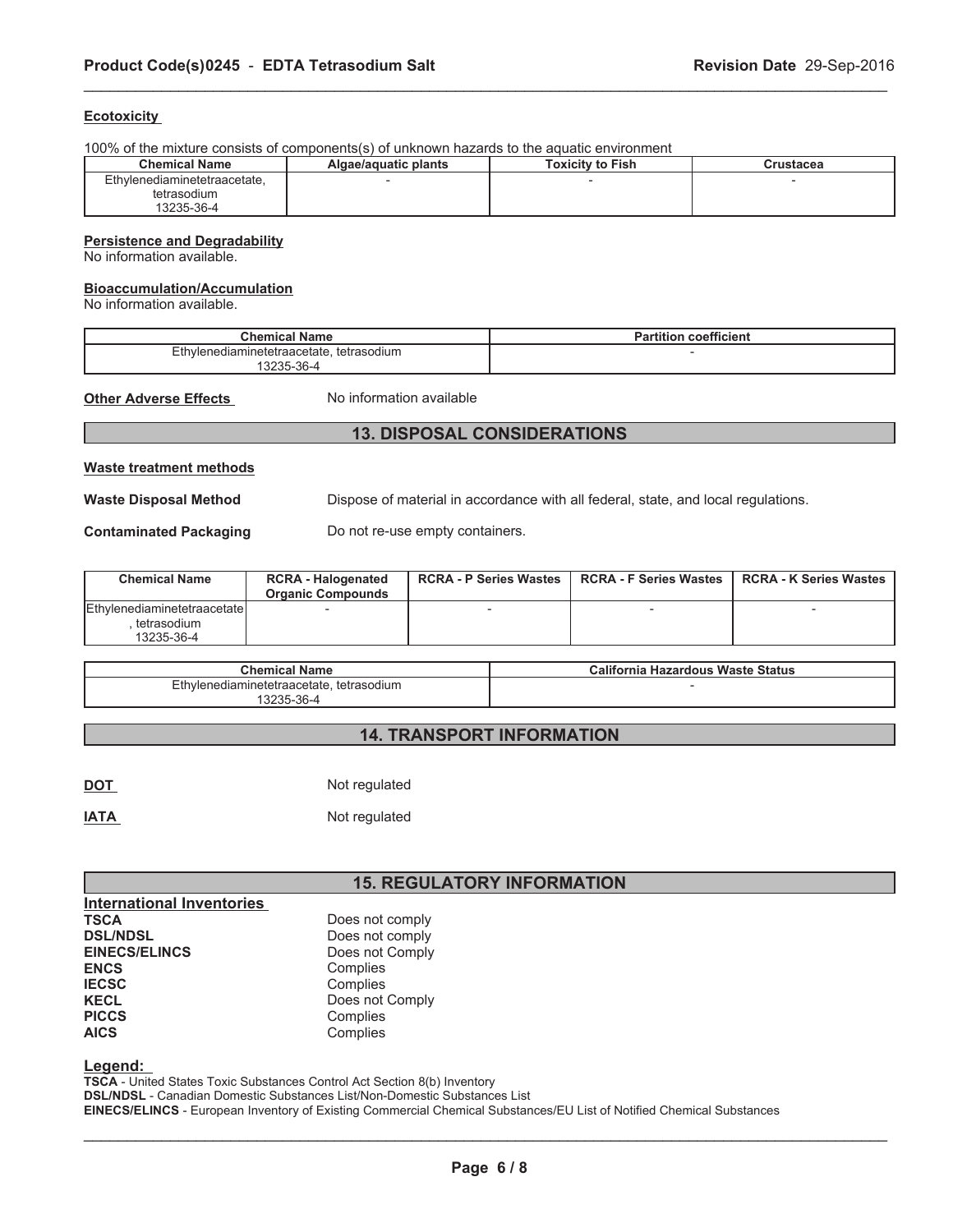## **Ecotoxicity**

100% of the mixture consists of components(s) of unknown hazards to the aquatic environment

| <b>Chemical Name</b>         | Algae/aquatic plants | <b>Toxicity to Fish</b> | Crustacea |
|------------------------------|----------------------|-------------------------|-----------|
| Ethylenediaminetetraacetate, |                      |                         |           |
| tetrasodium                  |                      |                         |           |
| 13235-36-4                   |                      |                         |           |

\_\_\_\_\_\_\_\_\_\_\_\_\_\_\_\_\_\_\_\_\_\_\_\_\_\_\_\_\_\_\_\_\_\_\_\_\_\_\_\_\_\_\_\_\_\_\_\_\_\_\_\_\_\_\_\_\_\_\_\_\_\_\_\_\_\_\_\_\_\_\_\_\_\_\_\_\_\_\_\_\_\_\_\_\_\_\_\_\_\_\_\_\_

#### **Persistence and Degradability**

No information available.

#### **Bioaccumulation/Accumulation**

No information available.

| <b>Chemical Name</b>                                   | ---<br>coefficient<br>Partition |  |
|--------------------------------------------------------|---------------------------------|--|
| Ethylenediaminetetraacetate.<br>tetrasodium<br>3235-36 |                                 |  |

**Other Adverse Effects** No information available

# **13. DISPOSAL CONSIDERATIONS**

#### **Waste treatment methods**

Waste Disposal Method **Dispose of material in accordance with all federal**, state, and local regulations.

**Contaminated Packaging** Do not re-use empty containers.

| <b>Chemical Name</b>           | <b>RCRA - Halogenated</b><br><b>Organic Compounds</b> | <b>RCRA - P Series Wastes</b> | <b>RCRA - F Series Wastes</b> | <b>RCRA - K Series Wastes</b> |
|--------------------------------|-------------------------------------------------------|-------------------------------|-------------------------------|-------------------------------|
| lEthvlenediaminetetraacetate l |                                                       |                               |                               |                               |
| tetrasodium                    |                                                       |                               |                               |                               |
| 13235-36-4                     |                                                       |                               |                               |                               |

| <b>Chemical Name</b>                     | California Hazardous Waste Status |  |
|------------------------------------------|-----------------------------------|--|
| Ethvlenediaminetetraacetate, tetrasodium |                                   |  |
| 13235-36-4                               |                                   |  |

# **14. TRANSPORT INFORMATION**

| <u>DOT</u>  | Not regulated |
|-------------|---------------|
| <b>IATA</b> | Not regulated |

# **15. REGULATORY INFORMATION**

| <b>International Inventories</b> |                 |
|----------------------------------|-----------------|
| <b>TSCA</b>                      | Does not comply |
| <b>DSL/NDSL</b>                  | Does not comply |
| <b>EINECS/ELINCS</b>             | Does not Comply |
| <b>ENCS</b>                      | Complies        |
| <b>IECSC</b>                     | Complies        |
| <b>KECL</b>                      | Does not Comply |
| <b>PICCS</b>                     | Complies        |
| <b>AICS</b>                      | Complies        |

**Legend:**

**TSCA** - United States Toxic Substances Control Act Section 8(b) Inventory **DSL/NDSL** - Canadian Domestic Substances List/Non-Domestic Substances List **EINECS/ELINCS** - European Inventory of Existing Commercial Chemical Substances/EU List of Notified Chemical Substances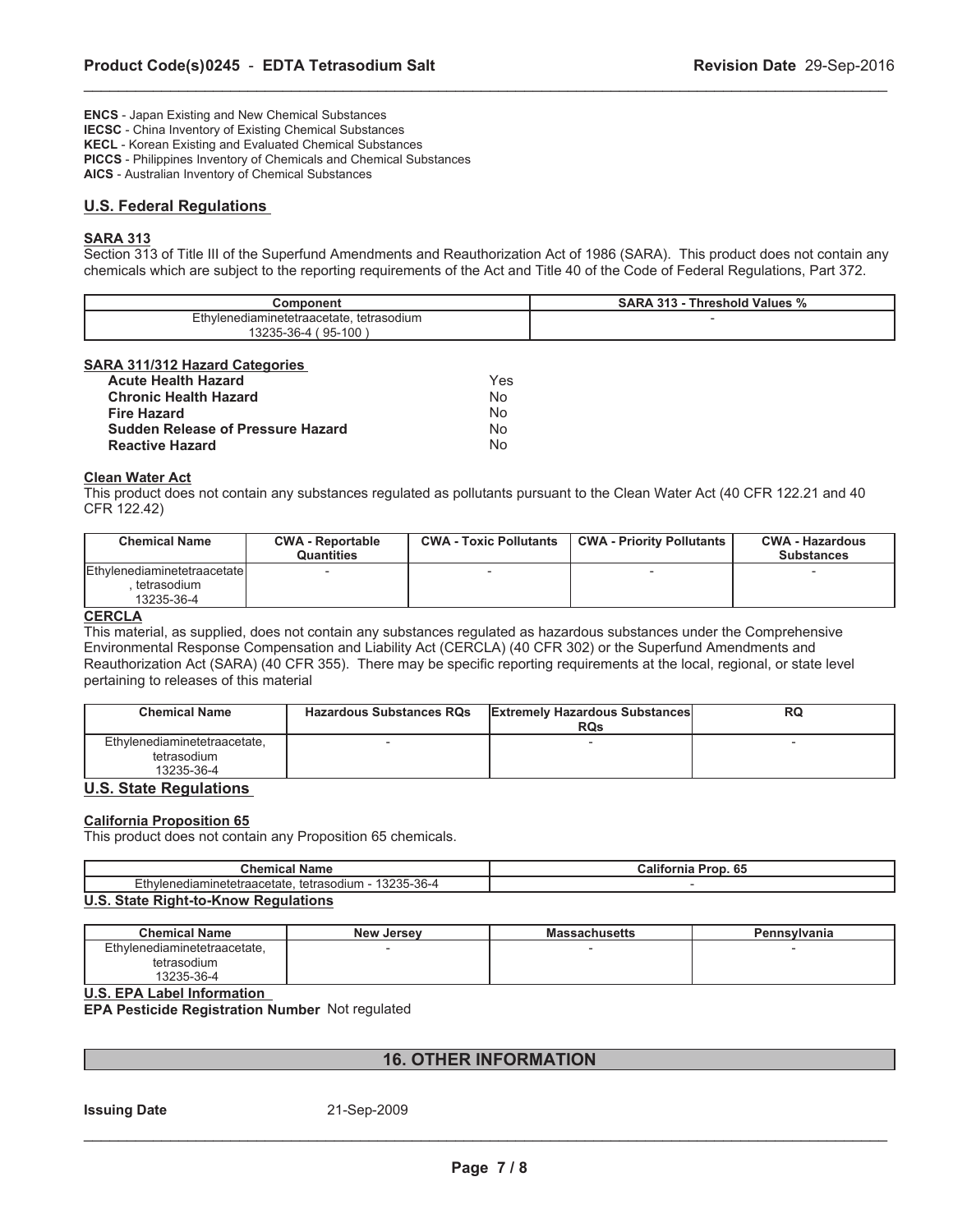**ENCS** - Japan Existing and New Chemical Substances **IECSC** - China Inventory of Existing Chemical Substances

**KECL** - Korean Existing and Evaluated Chemical Substances

**PICCS** - Philippines Inventory of Chemicals and Chemical Substances

**AICS** - Australian Inventory of Chemical Substances

## **U.S. Federal Regulations**

# **SARA 313**

Section 313 of Title III of the Superfund Amendments and Reauthorization Act of 1986 (SARA). This product does not contain any chemicals which are subject to the reporting requirements of the Act and Title 40 of the Code of Federal Regulations, Part 372.

\_\_\_\_\_\_\_\_\_\_\_\_\_\_\_\_\_\_\_\_\_\_\_\_\_\_\_\_\_\_\_\_\_\_\_\_\_\_\_\_\_\_\_\_\_\_\_\_\_\_\_\_\_\_\_\_\_\_\_\_\_\_\_\_\_\_\_\_\_\_\_\_\_\_\_\_\_\_\_\_\_\_\_\_\_\_\_\_\_\_\_\_\_

| Component                                | <b>SARA</b><br>242<br>Threshold Values %<br>د ۱د |
|------------------------------------------|--------------------------------------------------|
| Ethylenediaminetetraacetate, tetrasodium |                                                  |
| $95-100$<br>3235-36-4                    |                                                  |

## **SARA 311/312 Hazard Categories**

| <b>Acute Health Hazard</b>               | <b>Yes</b> |
|------------------------------------------|------------|
| <b>Chronic Health Hazard</b>             | No         |
| <b>Fire Hazard</b>                       | No         |
| <b>Sudden Release of Pressure Hazard</b> | No         |
| <b>Reactive Hazard</b>                   | Nο         |

## **Clean Water Act**

This product does not contain any substances regulated as pollutants pursuant to the Clean Water Act (40 CFR 122.21 and 40 CFR 122.42)

| <b>Chemical Name</b>                                     | <b>CWA - Reportable</b><br><b>Quantities</b> | <b>CWA - Toxic Pollutants</b> | <b>CWA - Priority Pollutants</b> | <b>CWA - Hazardous</b><br><b>Substances</b> |
|----------------------------------------------------------|----------------------------------------------|-------------------------------|----------------------------------|---------------------------------------------|
| Ethylenediaminetetraacetate<br>tetrasodium<br>13235-36-4 |                                              |                               |                                  |                                             |

# **CERCLA**

This material, as supplied, does not contain any substances regulated as hazardous substances under the Comprehensive Environmental Response Compensation and Liability Act (CERCLA) (40 CFR 302) or the Superfund Amendments and Reauthorization Act (SARA) (40 CFR 355). There may be specific reporting requirements at the local, regional, or state level pertaining to releases of this material

| <b>Chemical Name</b>                                      | <b>Hazardous Substances RQs</b> | <b>Extremely Hazardous Substances</b><br><b>RQs</b> | RQ |
|-----------------------------------------------------------|---------------------------------|-----------------------------------------------------|----|
| Ethylenediaminetetraacetate,<br>tetrasodium<br>13235-36-4 |                                 |                                                     |    |

## **U.S. State Regulations**

#### **California Proposition 65**

This product does not contain any Proposition 65 chemicals.

| ' Nam⊾<br>∵nemıcaı                                                                                             | .<br>Prop. 65<br>انalitor<br>rnia |  |
|----------------------------------------------------------------------------------------------------------------|-----------------------------------|--|
| $-tk$<br>イタクタド<br>5-36-4<br>jamine<br>rasodium<br>tetra<br><b>IVIAI</b><br>ietetraacetate<br>ت⊂ےت<br>–…<br>ັບບ |                                   |  |
| - -                                                                                                            |                                   |  |

#### **U.S. State Right-to-Know Regulations**

| <b>Chemical Name</b>         | <b>New Jersey</b> | <b>Massachusetts</b> | <b>Pennsylvania</b> |
|------------------------------|-------------------|----------------------|---------------------|
| Ethvlenediaminetetraacetate. |                   |                      |                     |
| tetrasodium                  |                   |                      |                     |
| 13235-36-4                   |                   |                      |                     |

**U.S. EPA Label Information**

**EPA Pesticide Registration Number** Not regulated

# **16. OTHER INFORMATION**

## **Issuing Date** 21-Sep-2009